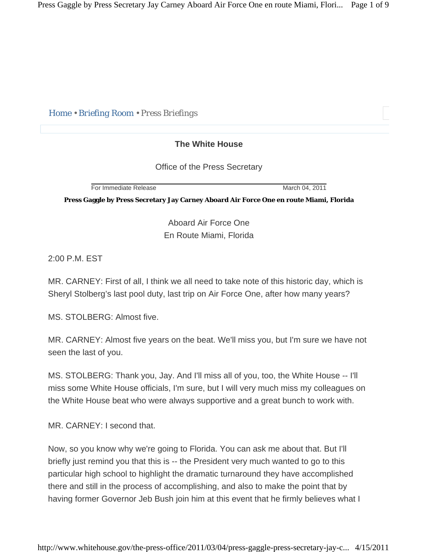*Home • Briefing Room • Press Briefings* 

## **The White House**

Office of the Press Secretary

**For Immediate Release March 04, 2011** 

**Press Gaggle by Press Secretary Jay Carney Aboard Air Force One en route Miami, Florida** 

Aboard Air Force One En Route Miami, Florida

2:00 P.M. EST

MR. CARNEY: First of all, I think we all need to take note of this historic day, which is Sheryl Stolberg's last pool duty, last trip on Air Force One, after how many years?

MS. STOLBERG: Almost five.

MR. CARNEY: Almost five years on the beat. We'll miss you, but I'm sure we have not seen the last of you.

MS. STOLBERG: Thank you, Jay. And I'll miss all of you, too, the White House -- I'll miss some White House officials, I'm sure, but I will very much miss my colleagues on the White House beat who were always supportive and a great bunch to work with.

MR. CARNEY: I second that.

Now, so you know why we're going to Florida. You can ask me about that. But I'll briefly just remind you that this is -- the President very much wanted to go to this particular high school to highlight the dramatic turnaround they have accomplished there and still in the process of accomplishing, and also to make the point that by having former Governor Jeb Bush join him at this event that he firmly believes what I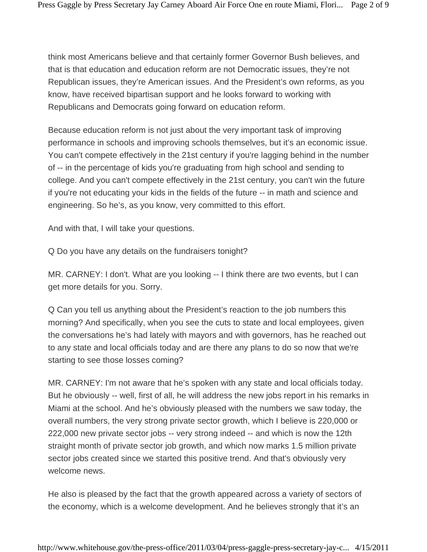think most Americans believe and that certainly former Governor Bush believes, and that is that education and education reform are not Democratic issues, they're not Republican issues, they're American issues. And the President's own reforms, as you know, have received bipartisan support and he looks forward to working with Republicans and Democrats going forward on education reform.

Because education reform is not just about the very important task of improving performance in schools and improving schools themselves, but it's an economic issue. You can't compete effectively in the 21st century if you're lagging behind in the number of -- in the percentage of kids you're graduating from high school and sending to college. And you can't compete effectively in the 21st century, you can't win the future if you're not educating your kids in the fields of the future -- in math and science and engineering. So he's, as you know, very committed to this effort.

And with that, I will take your questions.

Q Do you have any details on the fundraisers tonight?

MR. CARNEY: I don't. What are you looking -- I think there are two events, but I can get more details for you. Sorry.

Q Can you tell us anything about the President's reaction to the job numbers this morning? And specifically, when you see the cuts to state and local employees, given the conversations he's had lately with mayors and with governors, has he reached out to any state and local officials today and are there any plans to do so now that we're starting to see those losses coming?

MR. CARNEY: I'm not aware that he's spoken with any state and local officials today. But he obviously -- well, first of all, he will address the new jobs report in his remarks in Miami at the school. And he's obviously pleased with the numbers we saw today, the overall numbers, the very strong private sector growth, which I believe is 220,000 or 222,000 new private sector jobs -- very strong indeed -- and which is now the 12th straight month of private sector job growth, and which now marks 1.5 million private sector jobs created since we started this positive trend. And that's obviously very welcome news.

He also is pleased by the fact that the growth appeared across a variety of sectors of the economy, which is a welcome development. And he believes strongly that it's an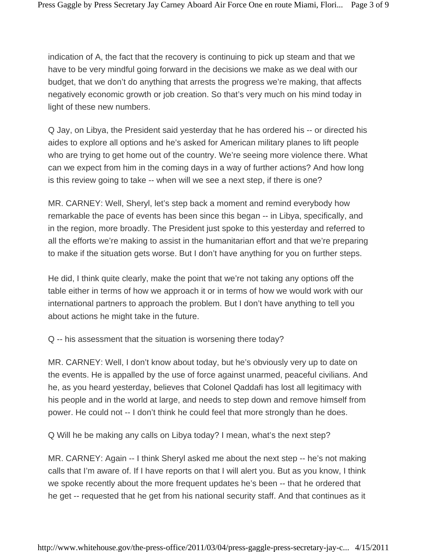indication of A, the fact that the recovery is continuing to pick up steam and that we have to be very mindful going forward in the decisions we make as we deal with our budget, that we don't do anything that arrests the progress we're making, that affects negatively economic growth or job creation. So that's very much on his mind today in light of these new numbers.

Q Jay, on Libya, the President said yesterday that he has ordered his -- or directed his aides to explore all options and he's asked for American military planes to lift people who are trying to get home out of the country. We're seeing more violence there. What can we expect from him in the coming days in a way of further actions? And how long is this review going to take -- when will we see a next step, if there is one?

MR. CARNEY: Well, Sheryl, let's step back a moment and remind everybody how remarkable the pace of events has been since this began -- in Libya, specifically, and in the region, more broadly. The President just spoke to this yesterday and referred to all the efforts we're making to assist in the humanitarian effort and that we're preparing to make if the situation gets worse. But I don't have anything for you on further steps.

He did, I think quite clearly, make the point that we're not taking any options off the table either in terms of how we approach it or in terms of how we would work with our international partners to approach the problem. But I don't have anything to tell you about actions he might take in the future.

Q -- his assessment that the situation is worsening there today?

MR. CARNEY: Well, I don't know about today, but he's obviously very up to date on the events. He is appalled by the use of force against unarmed, peaceful civilians. And he, as you heard yesterday, believes that Colonel Qaddafi has lost all legitimacy with his people and in the world at large, and needs to step down and remove himself from power. He could not -- I don't think he could feel that more strongly than he does.

Q Will he be making any calls on Libya today? I mean, what's the next step?

MR. CARNEY: Again -- I think Sheryl asked me about the next step -- he's not making calls that I'm aware of. If I have reports on that I will alert you. But as you know, I think we spoke recently about the more frequent updates he's been -- that he ordered that he get -- requested that he get from his national security staff. And that continues as it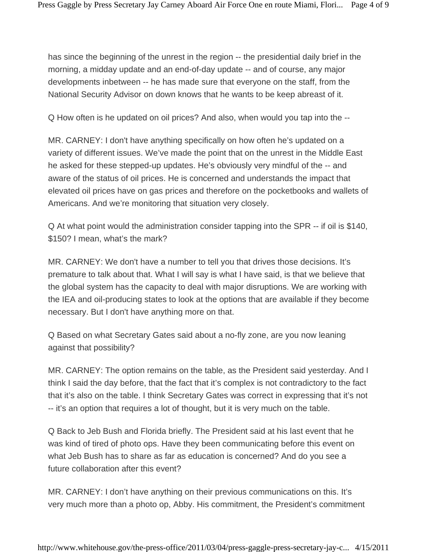has since the beginning of the unrest in the region -- the presidential daily brief in the morning, a midday update and an end-of-day update -- and of course, any major developments inbetween -- he has made sure that everyone on the staff, from the National Security Advisor on down knows that he wants to be keep abreast of it.

Q How often is he updated on oil prices? And also, when would you tap into the --

MR. CARNEY: I don't have anything specifically on how often he's updated on a variety of different issues. We've made the point that on the unrest in the Middle East he asked for these stepped-up updates. He's obviously very mindful of the -- and aware of the status of oil prices. He is concerned and understands the impact that elevated oil prices have on gas prices and therefore on the pocketbooks and wallets of Americans. And we're monitoring that situation very closely.

Q At what point would the administration consider tapping into the SPR -- if oil is \$140, \$150? I mean, what's the mark?

MR. CARNEY: We don't have a number to tell you that drives those decisions. It's premature to talk about that. What I will say is what I have said, is that we believe that the global system has the capacity to deal with major disruptions. We are working with the IEA and oil-producing states to look at the options that are available if they become necessary. But I don't have anything more on that.

Q Based on what Secretary Gates said about a no-fly zone, are you now leaning against that possibility?

MR. CARNEY: The option remains on the table, as the President said yesterday. And I think I said the day before, that the fact that it's complex is not contradictory to the fact that it's also on the table. I think Secretary Gates was correct in expressing that it's not -- it's an option that requires a lot of thought, but it is very much on the table.

Q Back to Jeb Bush and Florida briefly. The President said at his last event that he was kind of tired of photo ops. Have they been communicating before this event on what Jeb Bush has to share as far as education is concerned? And do you see a future collaboration after this event?

MR. CARNEY: I don't have anything on their previous communications on this. It's very much more than a photo op, Abby. His commitment, the President's commitment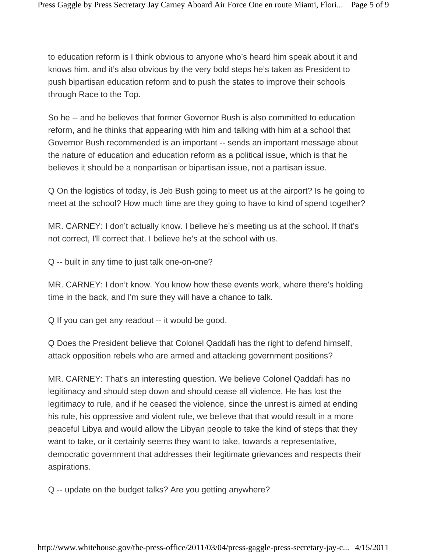to education reform is I think obvious to anyone who's heard him speak about it and knows him, and it's also obvious by the very bold steps he's taken as President to push bipartisan education reform and to push the states to improve their schools through Race to the Top.

So he -- and he believes that former Governor Bush is also committed to education reform, and he thinks that appearing with him and talking with him at a school that Governor Bush recommended is an important -- sends an important message about the nature of education and education reform as a political issue, which is that he believes it should be a nonpartisan or bipartisan issue, not a partisan issue.

Q On the logistics of today, is Jeb Bush going to meet us at the airport? Is he going to meet at the school? How much time are they going to have to kind of spend together?

MR. CARNEY: I don't actually know. I believe he's meeting us at the school. If that's not correct, I'll correct that. I believe he's at the school with us.

Q -- built in any time to just talk one-on-one?

MR. CARNEY: I don't know. You know how these events work, where there's holding time in the back, and I'm sure they will have a chance to talk.

Q If you can get any readout -- it would be good.

Q Does the President believe that Colonel Qaddafi has the right to defend himself, attack opposition rebels who are armed and attacking government positions?

MR. CARNEY: That's an interesting question. We believe Colonel Qaddafi has no legitimacy and should step down and should cease all violence. He has lost the legitimacy to rule, and if he ceased the violence, since the unrest is aimed at ending his rule, his oppressive and violent rule, we believe that that would result in a more peaceful Libya and would allow the Libyan people to take the kind of steps that they want to take, or it certainly seems they want to take, towards a representative, democratic government that addresses their legitimate grievances and respects their aspirations.

Q -- update on the budget talks? Are you getting anywhere?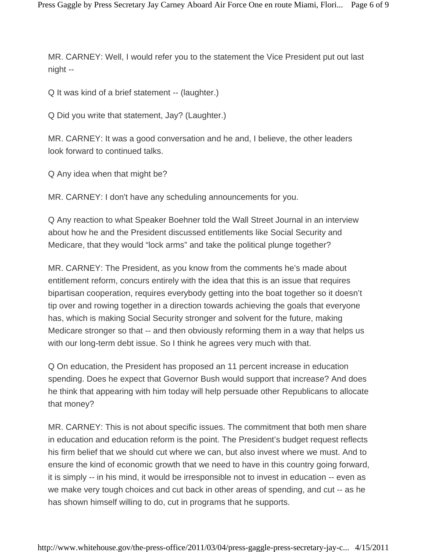MR. CARNEY: Well, I would refer you to the statement the Vice President put out last night --

Q It was kind of a brief statement -- (laughter.)

Q Did you write that statement, Jay? (Laughter.)

MR. CARNEY: It was a good conversation and he and, I believe, the other leaders look forward to continued talks.

Q Any idea when that might be?

MR. CARNEY: I don't have any scheduling announcements for you.

Q Any reaction to what Speaker Boehner told the Wall Street Journal in an interview about how he and the President discussed entitlements like Social Security and Medicare, that they would "lock arms" and take the political plunge together?

MR. CARNEY: The President, as you know from the comments he's made about entitlement reform, concurs entirely with the idea that this is an issue that requires bipartisan cooperation, requires everybody getting into the boat together so it doesn't tip over and rowing together in a direction towards achieving the goals that everyone has, which is making Social Security stronger and solvent for the future, making Medicare stronger so that -- and then obviously reforming them in a way that helps us with our long-term debt issue. So I think he agrees very much with that.

Q On education, the President has proposed an 11 percent increase in education spending. Does he expect that Governor Bush would support that increase? And does he think that appearing with him today will help persuade other Republicans to allocate that money?

MR. CARNEY: This is not about specific issues. The commitment that both men share in education and education reform is the point. The President's budget request reflects his firm belief that we should cut where we can, but also invest where we must. And to ensure the kind of economic growth that we need to have in this country going forward, it is simply -- in his mind, it would be irresponsible not to invest in education -- even as we make very tough choices and cut back in other areas of spending, and cut -- as he has shown himself willing to do, cut in programs that he supports.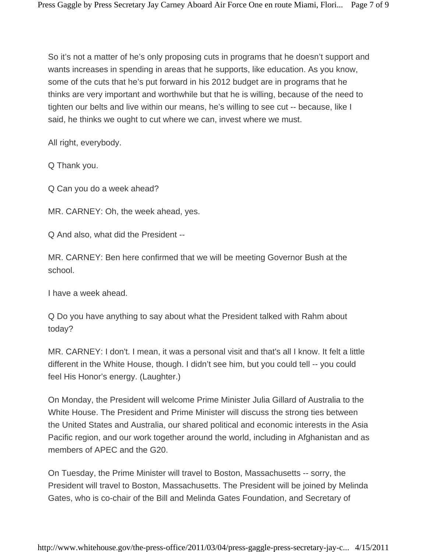So it's not a matter of he's only proposing cuts in programs that he doesn't support and wants increases in spending in areas that he supports, like education. As you know, some of the cuts that he's put forward in his 2012 budget are in programs that he thinks are very important and worthwhile but that he is willing, because of the need to tighten our belts and live within our means, he's willing to see cut -- because, like I said, he thinks we ought to cut where we can, invest where we must.

All right, everybody.

Q Thank you.

Q Can you do a week ahead?

MR. CARNEY: Oh, the week ahead, yes.

Q And also, what did the President --

MR. CARNEY: Ben here confirmed that we will be meeting Governor Bush at the school.

I have a week ahead.

Q Do you have anything to say about what the President talked with Rahm about today?

MR. CARNEY: I don't. I mean, it was a personal visit and that's all I know. It felt a little different in the White House, though. I didn't see him, but you could tell -- you could feel His Honor's energy. (Laughter.)

On Monday, the President will welcome Prime Minister Julia Gillard of Australia to the White House. The President and Prime Minister will discuss the strong ties between the United States and Australia, our shared political and economic interests in the Asia Pacific region, and our work together around the world, including in Afghanistan and as members of APEC and the G20.

On Tuesday, the Prime Minister will travel to Boston, Massachusetts -- sorry, the President will travel to Boston, Massachusetts. The President will be joined by Melinda Gates, who is co-chair of the Bill and Melinda Gates Foundation, and Secretary of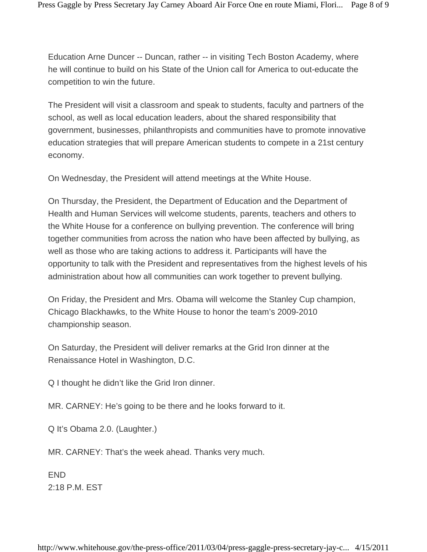Education Arne Duncer -- Duncan, rather -- in visiting Tech Boston Academy, where he will continue to build on his State of the Union call for America to out-educate the competition to win the future.

The President will visit a classroom and speak to students, faculty and partners of the school, as well as local education leaders, about the shared responsibility that government, businesses, philanthropists and communities have to promote innovative education strategies that will prepare American students to compete in a 21st century economy.

On Wednesday, the President will attend meetings at the White House.

On Thursday, the President, the Department of Education and the Department of Health and Human Services will welcome students, parents, teachers and others to the White House for a conference on bullying prevention. The conference will bring together communities from across the nation who have been affected by bullying, as well as those who are taking actions to address it. Participants will have the opportunity to talk with the President and representatives from the highest levels of his administration about how all communities can work together to prevent bullying.

On Friday, the President and Mrs. Obama will welcome the Stanley Cup champion, Chicago Blackhawks, to the White House to honor the team's 2009-2010 championship season.

On Saturday, the President will deliver remarks at the Grid Iron dinner at the Renaissance Hotel in Washington, D.C.

Q I thought he didn't like the Grid Iron dinner.

MR. CARNEY: He's going to be there and he looks forward to it.

Q It's Obama 2.0. (Laughter.)

MR. CARNEY: That's the week ahead. Thanks very much.

END 2:18 P.M. EST